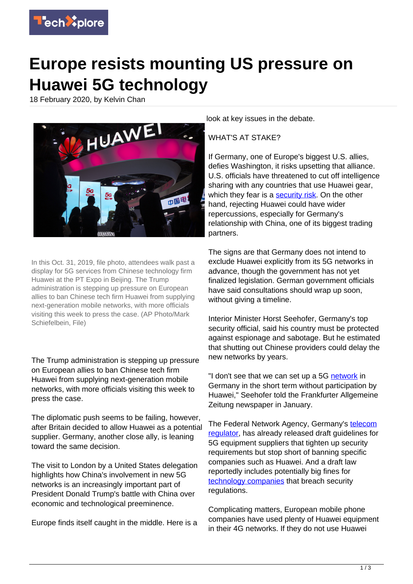

# **Europe resists mounting US pressure on Huawei 5G technology**

18 February 2020, by Kelvin Chan



In this Oct. 31, 2019, file photo, attendees walk past a display for 5G services from Chinese technology firm Huawei at the PT Expo in Beijing. The Trump administration is stepping up pressure on European allies to ban Chinese tech firm Huawei from supplying next-generation mobile networks, with more officials visiting this week to press the case. (AP Photo/Mark Schiefelbein, File)

The Trump administration is stepping up pressure on European allies to ban Chinese tech firm Huawei from supplying next-generation mobile networks, with more officials visiting this week to press the case.

The diplomatic push seems to be failing, however, after Britain decided to allow Huawei as a potential supplier. Germany, another close ally, is leaning toward the same decision.

The visit to London by a United States delegation highlights how China's involvement in new 5G networks is an increasingly important part of President Donald Trump's battle with China over economic and technological preeminence.

Europe finds itself caught in the middle. Here is a

look at key issues in the debate.

## WHAT'S AT STAKE?

If Germany, one of Europe's biggest U.S. allies, defies Washington, it risks upsetting that alliance. U.S. officials have threatened to cut off intelligence sharing with any countries that use Huawei gear, which they fear is a [security risk.](https://techxplore.com/tags/security+risk/) On the other hand, rejecting Huawei could have wider repercussions, especially for Germany's relationship with China, one of its biggest trading partners.

The signs are that Germany does not intend to exclude Huawei explicitly from its 5G networks in advance, though the government has not yet finalized legislation. German government officials have said consultations should wrap up soon, without giving a timeline.

Interior Minister Horst Seehofer, Germany's top security official, said his country must be protected against espionage and sabotage. But he estimated that shutting out Chinese providers could delay the new networks by years.

"I don't see that we can set up a 5G [network](https://techxplore.com/tags/network/) in Germany in the short term without participation by Huawei," Seehofer told the Frankfurter Allgemeine Zeitung newspaper in January.

The Federal Network Agency, Germany's [telecom](https://techxplore.com/tags/telecom+regulator/) [regulator,](https://techxplore.com/tags/telecom+regulator/) has already released draft guidelines for 5G equipment suppliers that tighten up security requirements but stop short of banning specific companies such as Huawei. And a draft law reportedly includes potentially big fines for [technology companies](https://techxplore.com/tags/technology+companies/) that breach security regulations.

Complicating matters, European mobile phone companies have used plenty of Huawei equipment in their 4G networks. If they do not use Huawei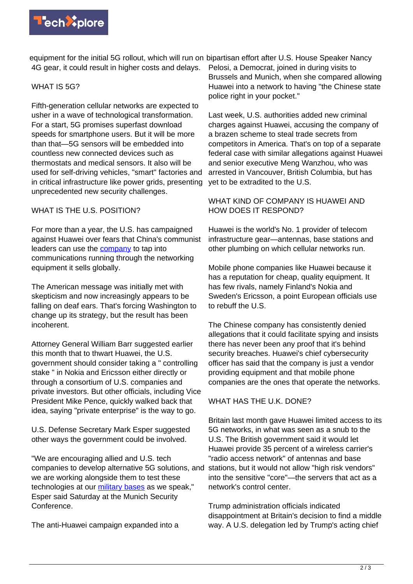

equipment for the initial 5G rollout, which will run on bipartisan effort after U.S. House Speaker Nancy 4G gear, it could result in higher costs and delays.

#### WHAT IS 5G?

Fifth-generation cellular networks are expected to usher in a wave of technological transformation. For a start, 5G promises superfast download speeds for smartphone users. But it will be more than that—5G sensors will be embedded into countless new connected devices such as thermostats and medical sensors. It also will be used for self-driving vehicles, "smart" factories and in critical infrastructure like power grids, presenting unprecedented new security challenges.

## WHAT IS THE U.S. POSITION?

For more than a year, the U.S. has campaigned against Huawei over fears that China's communist leaders can use the [company](https://techxplore.com/tags/company/) to tap into communications running through the networking equipment it sells globally.

The American message was initially met with skepticism and now increasingly appears to be falling on deaf ears. That's forcing Washington to change up its strategy, but the result has been incoherent.

Attorney General William Barr suggested earlier this month that to thwart Huawei, the U.S. government should consider taking a " controlling stake " in Nokia and Ericsson either directly or through a consortium of U.S. companies and private investors. But other officials, including Vice President Mike Pence, quickly walked back that idea, saying "private enterprise" is the way to go.

U.S. Defense Secretary Mark Esper suggested other ways the government could be involved.

"We are encouraging allied and U.S. tech companies to develop alternative 5G solutions, and we are working alongside them to test these technologies at our [military bases](https://techxplore.com/tags/military+bases/) as we speak," Esper said Saturday at the Munich Security Conference.

The anti-Huawei campaign expanded into a

Pelosi, a Democrat, joined in during visits to Brussels and Munich, when she compared allowing Huawei into a network to having "the Chinese state police right in your pocket."

Last week, U.S. authorities added new criminal charges against Huawei, accusing the company of a brazen scheme to steal trade secrets from competitors in America. That's on top of a separate federal case with similar allegations against Huawei and senior executive Meng Wanzhou, who was arrested in Vancouver, British Columbia, but has yet to be extradited to the U.S.

### WHAT KIND OF COMPANY IS HUAWEI AND HOW DOES IT RESPOND?

Huawei is the world's No. 1 provider of telecom infrastructure gear—antennas, base stations and other plumbing on which cellular networks run.

Mobile phone companies like Huawei because it has a reputation for cheap, quality equipment. It has few rivals, namely Finland's Nokia and Sweden's Ericsson, a point European officials use to rebuff the U.S.

The Chinese company has consistently denied allegations that it could facilitate spying and insists there has never been any proof that it's behind security breaches. Huawei's chief cybersecurity officer has said that the company is just a vendor providing equipment and that mobile phone companies are the ones that operate the networks.

#### WHAT HAS THE U.K. DONE?

Britain last month gave Huawei limited access to its 5G networks, in what was seen as a snub to the U.S. The British government said it would let Huawei provide 35 percent of a wireless carrier's "radio access network" of antennas and base stations, but it would not allow "high risk vendors" into the sensitive "core"—the servers that act as a network's control center.

Trump administration officials indicated disappointment at Britain's decision to find a middle way. A U.S. delegation led by Trump's acting chief